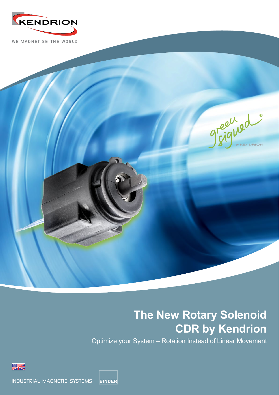

WE MAGNETISE THE WORLD



# **The New Rotary Solenoid CDR by Kendrion**

Optimize your System – Rotation Instead of Linear Movement



**BINDER** INDUSTRIAL MAGNETIC SYSTEMS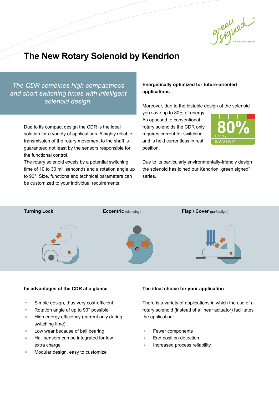

# **The New Rotary Solenoid by Kendrion**

*The CDR combines high compactness and short switching times with intelligent solenoid design.*

> Due to its compact design the CDR is the ideal solution for a variety of applications. A highly reliable transmission of the rotary movement to the shaft is guaranteed not least by the sensors responsible for the functional control.

The rotary solenoid excels by a potential switching time of 10 to 30 millisenconds and a rotation angle up to 90°. Size, functions and technical parameters can be customized to your individual requirements.

# **Energetically optimized for future-oriented applications**

Moreover, due to the bistable design of the solenoid

you save up to 80% of energy. As opposed to conventional rotary solenoids the CDR only requires current for switching and is held currentless in rest position.



Due to its particularly environmentally-friendly design the solenoid has joined our Kendrion "green signed" series.



### **he advantages of the CDR at a glance**

- Simple design, thus very cost-efficient
- Rotation angle of up to 90° possible
- High energy efficiency (current only during switching time)
- Low wear because of ball bearing
- Hall sensors can be integrated for low extra charge
- Modular design, easy to customize

#### **The ideal choice for your application**

There is a variety of applications in which the use of a rotary solenoid (instead of a linear actuator) facilitates the application.

- Fewer components
- End position detection
- Increased process reliability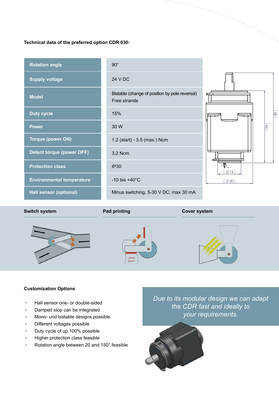# **Technical data of the preferred option CDR 030:**



#### **Switch system Pad printing Pad proximition Cover system**







## **Customization Options**

- Hall sensor one- or double-sided
- Damped stop can be integrated
- Mono- und bistable designs possible
- Different voltages possible
- Duty cycle of up 100% possible
- Higher protection class feasible
- Rotation angle between 20 and 150° feasible

*Due to its modular design we can adapt the CDR fast and ideally to your requirements.*